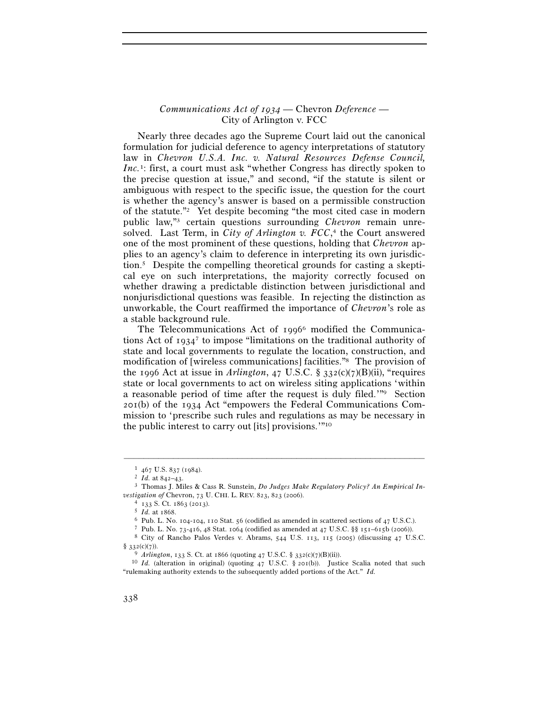## *Communications Act of 1934 —* Chevron *Deference —*  City of Arlington v. FCC

Nearly three decades ago the Supreme Court laid out the canonical formulation for judicial deference to agency interpretations of statutory law in *Chevron U.S.A. Inc. v. Natural Resources Defense Council*, *Inc.*<sup>1</sup>: first, a court must ask "whether Congress has directly spoken to the precise question at issue," and second, "if the statute is silent or ambiguous with respect to the specific issue, the question for the court is whether the agency's answer is based on a permissible construction of the statute."2 Yet despite becoming "the most cited case in modern public law,"3 certain questions surrounding *Chevron* remain unresolved. Last Term, in *City of Arlington v. FCC*, 4 the Court answered one of the most prominent of these questions, holding that *Chevron* applies to an agency's claim to deference in interpreting its own jurisdiction.5 Despite the compelling theoretical grounds for casting a skeptical eye on such interpretations, the majority correctly focused on whether drawing a predictable distinction between jurisdictional and nonjurisdictional questions was feasible. In rejecting the distinction as unworkable, the Court reaffirmed the importance of *Chevron*'s role as a stable background rule.

The Telecommunications Act of 1996<sup>6</sup> modified the Communications Act of  $1934^7$  to impose "limitations on the traditional authority of state and local governments to regulate the location, construction, and modification of [wireless communications] facilities."8 The provision of the 1996 Act at issue in *Arlington*,  $47 \text{ U.S.C.}$  §  $332 \text{ (c)}(7) \text{(B)}$ (ii), "requires state or local governments to act on wireless siting applications 'within a reasonable period of time after the request is duly filed.'"9 Section 201(b) of the 1934 Act "empowers the Federal Communications Commission to 'prescribe such rules and regulations as may be necessary in the public interest to carry out [its] provisions.'"10

<sup>1</sup> <sup>467</sup> U.S. 837 (1984). 2 *Id.* at 842–43. 3 Thomas J. Miles & Cass R. Sunstein, *Do Judges Make Regulatory Policy? An Empirical In-*

*vestigation of* Chevron, 73 U. CHI. L. REV. 823, 823 (2006).<br>
<sup>4</sup> 133 S. Ct. 1863 (2013).<br>
<sup>5</sup> *Id.* at 1868.<br>
<sup>6</sup> Pub. L. No. 104-104, 110 Stat. 56 (codified as amended in scattered sections of 47 U.S.C.).<br>
<sup>7</sup> Pub. L.

<sup>§</sup> 332(c)(7)). 9 *Arlington*, 133 S. Ct. at 1866 (quoting 47 U.S.C. § 332(c)(7)(B)(ii)). 10 *Id.* (alteration in original) (quoting 47 U.S.C. § 201(b)). Justice Scalia noted that such "rulemaking authority extends to the subsequently added portions of the Act." *Id.*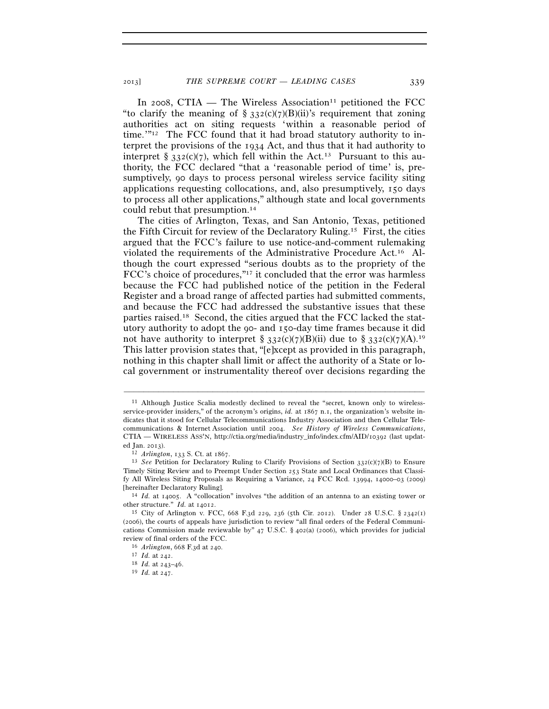In 2008, CTIA — The Wireless Association<sup>11</sup> petitioned the FCC "to clarify the meaning of  $\S$  332(c)(7)(B)(ii)'s requirement that zoning authorities act on siting requests 'within a reasonable period of time.' $n_{12}$  The FCC found that it had broad statutory authority to interpret the provisions of the 1934 Act, and thus that it had authority to interpret §  $332(c)(7)$ , which fell within the Act.<sup>13</sup> Pursuant to this authority, the FCC declared "that a 'reasonable period of time' is, presumptively, 90 days to process personal wireless service facility siting applications requesting collocations, and, also presumptively, 150 days to process all other applications," although state and local governments could rebut that presumption.14

The cities of Arlington, Texas, and San Antonio, Texas, petitioned the Fifth Circuit for review of the Declaratory Ruling.15 First, the cities argued that the FCC's failure to use notice-and-comment rulemaking violated the requirements of the Administrative Procedure Act.16 Although the court expressed "serious doubts as to the propriety of the FCC's choice of procedures,"<sup>17</sup> it concluded that the error was harmless because the FCC had published notice of the petition in the Federal Register and a broad range of affected parties had submitted comments, and because the FCC had addressed the substantive issues that these parties raised.18 Second, the cities argued that the FCC lacked the statutory authority to adopt the 90- and 150-day time frames because it did not have authority to interpret § 332(c)(7)(B)(ii) due to § 332(c)(7)(A).<sup>19</sup> This latter provision states that, "[e]xcept as provided in this paragraph, nothing in this chapter shall limit or affect the authority of a State or local government or instrumentality thereof over decisions regarding the

<sup>11</sup> Although Justice Scalia modestly declined to reveal the "secret, known only to wirelessservice-provider insiders," of the acronym's origins, *id.* at 1867 n.1, the organization's website indicates that it stood for Cellular Telecommunications Industry Association and then Cellular Telecommunications & Internet Association until 2004. *See History of Wireless Communications*, CTIA — WIRELESS ASS'N, http://ctia.org/media/industry\_info/index.cfm/AID/10392 (last updat-

ed Jan. 2013).<br><sup>12</sup> *Arlington*, 133 S. Ct. at 1867.<br><sup>13</sup> *See* Petition for Declaratory Ruling to Clarify Provisions of Section 332(c)(7)(B) to Ensure Timely Siting Review and to Preempt Under Section 253 State and Local Ordinances that Classify All Wireless Siting Proposals as Requiring a Variance, 24 FCC Rcd. 13994, 14000–03 (2009) [hereinafter Declaratory Ruling]. 14 *Id.* at 14005. A "collocation" involves "the addition of an antenna to an existing tower or

other structure." *Id.* at 14012.<br><sup>15</sup> City of Arlington v. FCC, 668 F.3d 229, 236 (5th Cir. 2012). Under 28 U.S.C. § 2342(1)

<sup>(</sup>2006), the courts of appeals have jurisdiction to review "all final orders of the Federal Communications Commission made reviewable by"  $47 \text{ U.S.C.}$  §  $402 \text{(a)}$  (2006), which provides for judicial review of final orders of the FCC. 16 *Arlington*, 668 F.3d at 240. 17 *Id.* at 242. 18 *Id.* at 243–46. 19 *Id.* at 247.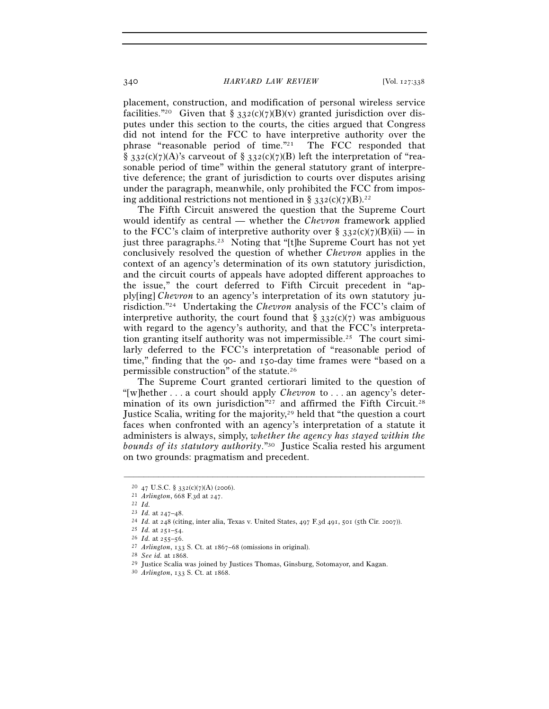placement, construction, and modification of personal wireless service facilities."<sup>20</sup> Given that  $\S$  332(c)(7)(B)(v) granted jurisdiction over disputes under this section to the courts, the cities argued that Congress did not intend for the FCC to have interpretive authority over the phrase "reasonable period of time."21 The FCC responded that § 3.32(c)(7)(A)'s carveout of § 3.32(c)(7)(B) left the interpretation of "reasonable period of time" within the general statutory grant of interpretive deference; the grant of jurisdiction to courts over disputes arising under the paragraph, meanwhile, only prohibited the FCC from imposing additional restrictions not mentioned in § 332(c)(7)(B).<sup>22</sup>

The Fifth Circuit answered the question that the Supreme Court would identify as central — whether the *Chevron* framework applied to the FCC's claim of interpretive authority over §  $332(c)(7)(B)(ii)$  — in just three paragraphs.23 Noting that "[t]he Supreme Court has not yet conclusively resolved the question of whether *Chevron* applies in the context of an agency's determination of its own statutory jurisdiction, and the circuit courts of appeals have adopted different approaches to the issue," the court deferred to Fifth Circuit precedent in "apply[ing] *Chevron* to an agency's interpretation of its own statutory jurisdiction."24 Undertaking the *Chevron* analysis of the FCC's claim of interpretive authority, the court found that  $\S$  332(c)(7) was ambiguous with regard to the agency's authority, and that the FCC's interpretation granting itself authority was not impermissible.25 The court similarly deferred to the FCC's interpretation of "reasonable period of time," finding that the 90- and 150-day time frames were "based on a permissible construction" of the statute.26

The Supreme Court granted certiorari limited to the question of "[w]hether . . . a court should apply *Chevron* to . . . an agency's determination of its own jurisdiction"<sup>27</sup> and affirmed the Fifth Circuit.<sup>28</sup> Justice Scalia, writing for the majority,<sup>29</sup> held that "the question a court" faces when confronted with an agency's interpretation of a statute it administers is always, simply, *whether the agency has stayed within the bounds of its statutory authority*."30 Justice Scalia rested his argument on two grounds: pragmatism and precedent.

<sup>20 47</sup> U.S.C. § 332(c)(7)(A) (2006).<br>
21 *Arlington*, 668 F.3d at 247.<br>
22 *Id.*<br>
23 *Id.* at 247–48.

<sup>&</sup>lt;sup>24</sup> *Id.* at 248 (citing, inter alia, Texas v. United States, 497 F.3d 491, 501 (5th Cir. 2007)).<br><sup>25</sup> *Id.* at 251–54.<br><sup>26</sup> *Id.* at 255–56.<br><sup>27</sup> *Arlington*, 133 S. Ct. at 1867–68 (omissions in original).<br><sup>28</sup> *See id.*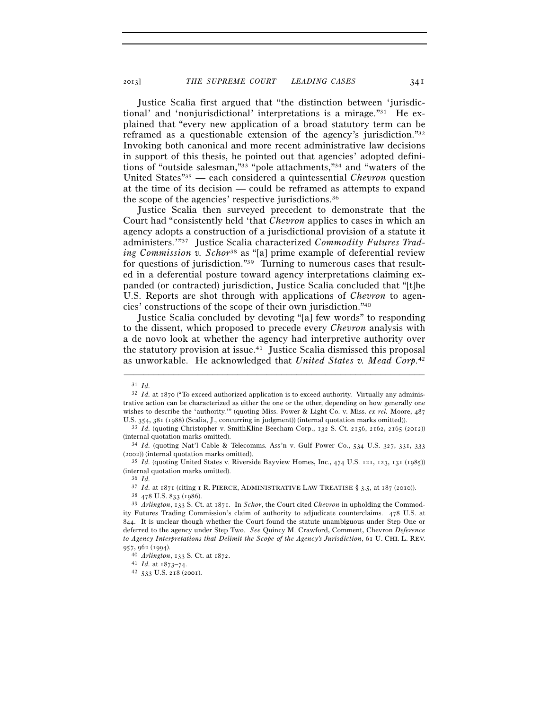Justice Scalia first argued that "the distinction between 'jurisdictional' and 'nonjurisdictional' interpretations is a mirage."31 He explained that "every new application of a broad statutory term can be reframed as a questionable extension of the agency's jurisdiction."32 Invoking both canonical and more recent administrative law decisions in support of this thesis, he pointed out that agencies' adopted definitions of "outside salesman,"33 "pole attachments,"34 and "waters of the United States"35 — each considered a quintessential *Chevron* question at the time of its decision — could be reframed as attempts to expand the scope of the agencies' respective jurisdictions.36

Justice Scalia then surveyed precedent to demonstrate that the Court had "consistently held 'that *Chevron* applies to cases in which an agency adopts a construction of a jurisdictional provision of a statute it administers.'"37 Justice Scalia characterized *Commodity Futures Trading Commission v. Schor*<sup>38</sup> as "[a] prime example of deferential review for questions of jurisdiction."39 Turning to numerous cases that resulted in a deferential posture toward agency interpretations claiming expanded (or contracted) jurisdiction, Justice Scalia concluded that "[t]he U.S. Reports are shot through with applications of *Chevron* to agencies' constructions of the scope of their own jurisdiction."40

Justice Scalia concluded by devoting "[a] few words" to responding to the dissent, which proposed to precede every *Chevron* analysis with a de novo look at whether the agency had interpretive authority over the statutory provision at issue.41 Justice Scalia dismissed this proposal as unworkable. He acknowledged that *United States v. Mead Corp.*<sup>42</sup>

<sup>31</sup> *Id.*

<sup>&</sup>lt;sup>32</sup> *Id.* at 1870 ("To exceed authorized application is to exceed authority. Virtually any administrative action can be characterized as either the one or the other, depending on how generally one wishes to describe the 'authority.'" (quoting Miss. Power & Light Co. v. Miss. *ex rel.* Moore, 487

U.S. 354, 381 (1988) (Scalia, J., concurring in judgment)) (internal quotation marks omitted)). 33 *Id.* (quoting Christopher v. SmithKline Beecham Corp., 132 S. Ct. 2156, 2162, 2165 (2012)) (internal quotation marks omitted). 34 *Id.* (quoting Nat'l Cable & Telecomms. Ass'n v. Gulf Power Co., 534 U.S. 327, 331, <sup>333</sup>

<sup>(</sup>2002)) (internal quotation marks omitted). 35 *Id.* (quoting United States v. Riverside Bayview Homes, Inc., 474 U.S. 121, 123, 131 (1985))

<sup>(</sup>internal quotation marks omitted). 36 *Id.*

<sup>&</sup>lt;sup>37</sup> *Id.* at 1871 (citing 1 R. PIERCE, ADMINISTRATIVE LAW TREATISE § 3.5, at 187 (2010)).<br><sup>38</sup> 478 U.S. 833 (1986).<br><sup>39</sup> *Arlington*, 133 S. Ct. at 1871. In *Schor*, the Court cited *Chevron* in upholding the Commod-

ity Futures Trading Commission's claim of authority to adjudicate counterclaims. 478 U.S. at 844. It is unclear though whether the Court found the statute unambiguous under Step One or deferred to the agency under Step Two. *See* Quincy M. Crawford, Comment, Chevron *Deference to Agency Interpretations that Delimit the Scope of the Agency's Jurisdiction*, 61 U. CHI. L. REV. <sup>957</sup>, 962 (1994). 40 *Arlington*, 133 S. Ct. at 1872. 41 *Id.* at 1873–74. 42 <sup>533</sup> U.S. 218 (2001).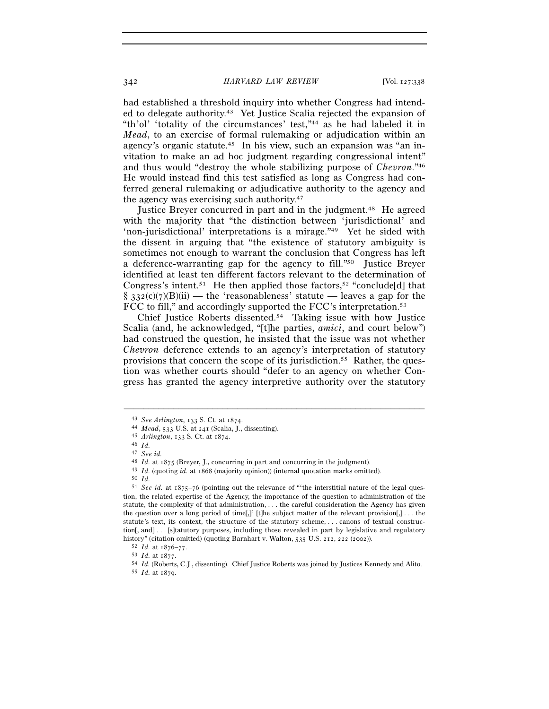had established a threshold inquiry into whether Congress had intended to delegate authority.43 Yet Justice Scalia rejected the expansion of "th'ol' 'totality of the circumstances' test,"44 as he had labeled it in *Mead*, to an exercise of formal rulemaking or adjudication within an agency's organic statute.45 In his view, such an expansion was "an invitation to make an ad hoc judgment regarding congressional intent" and thus would "destroy the whole stabilizing purpose of *Chevron*."46 He would instead find this test satisfied as long as Congress had conferred general rulemaking or adjudicative authority to the agency and the agency was exercising such authority.47

Justice Breyer concurred in part and in the judgment.48 He agreed with the majority that "the distinction between 'jurisdictional' and 'non-jurisdictional' interpretations is a mirage."<sup>49</sup> Yet he sided with the dissent in arguing that "the existence of statutory ambiguity is sometimes not enough to warrant the conclusion that Congress has left a deference-warranting gap for the agency to fill."<sup>50</sup> Justice Brever identified at least ten different factors relevant to the determination of Congress's intent.<sup>51</sup> He then applied those factors,<sup>52</sup> "conclude[d] that  $\S$  332(c)(7)(B)(ii) — the 'reasonableness' statute — leaves a gap for the FCC to fill," and accordingly supported the FCC's interpretation.<sup>53</sup>

Chief Justice Roberts dissented.54 Taking issue with how Justice Scalia (and, he acknowledged, "[t]he parties, *amici*, and court below") had construed the question, he insisted that the issue was not whether *Chevron* deference extends to an agency's interpretation of statutory provisions that concern the scope of its jurisdiction.55 Rather, the question was whether courts should "defer to an agency on whether Congress has granted the agency interpretive authority over the statutory

<sup>43</sup> *See Arlington*, 133 S. Ct. at 1874. 44 *Mead*, 533 U.S. at 241 (Scalia, J., dissenting). 45 *Arlington*, 133 S. Ct. at 1874. 46 *Id.*

<sup>47</sup> *See id.*

<sup>&</sup>lt;sup>49</sup> *Id.* (quoting *id.* at 1868 (majority opinion)) (internal quotation marks omitted).<br><sup>50</sup> *Id.*<br><sup>51</sup> *See id.* at 1875–76 (pointing out the relevance of "the interstitial nature of the legal question, the related expertise of the Agency, the importance of the question to administration of the statute, the complexity of that administration, . . . the careful consideration the Agency has given the question over a long period of time[,]' [t]he subject matter of the relevant provision[,] . . . the statute's text, its context, the structure of the statutory scheme, . . . canons of textual construction[, and] . . . [s]tatutory purposes, including those revealed in part by legislative and regulatory history" (citation omitted) (quoting Barnhart v. Walton, 535 U.S. 212, 222 (2002)).<br>
<sup>52</sup> *Id.* at 1876–77.<br>
<sup>53</sup> *Id.* at 1877.<br>
<sup>54</sup> *Id.* (Roberts, C.J., dissenting). Chief Justice Roberts was joined by Justices Kenned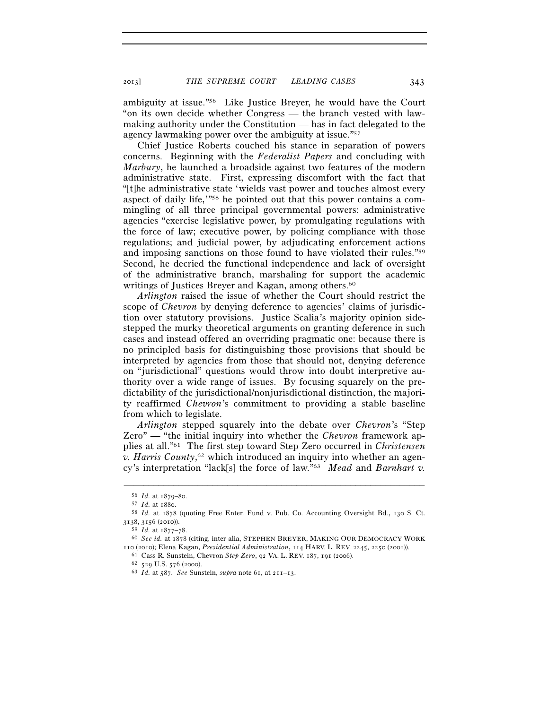ambiguity at issue."56 Like Justice Breyer, he would have the Court "on its own decide whether Congress — the branch vested with lawmaking authority under the Constitution — has in fact delegated to the agency lawmaking power over the ambiguity at issue."57

Chief Justice Roberts couched his stance in separation of powers concerns. Beginning with the *Federalist Papers* and concluding with *Marbury*, he launched a broadside against two features of the modern administrative state. First, expressing discomfort with the fact that "[t]he administrative state 'wields vast power and touches almost every aspect of daily life,'"58 he pointed out that this power contains a commingling of all three principal governmental powers: administrative agencies "exercise legislative power, by promulgating regulations with the force of law; executive power, by policing compliance with those regulations; and judicial power, by adjudicating enforcement actions and imposing sanctions on those found to have violated their rules."59 Second, he decried the functional independence and lack of oversight of the administrative branch, marshaling for support the academic writings of Justices Breyer and Kagan, among others.<sup>60</sup>

*Arlington* raised the issue of whether the Court should restrict the scope of *Chevron* by denying deference to agencies' claims of jurisdiction over statutory provisions. Justice Scalia's majority opinion sidestepped the murky theoretical arguments on granting deference in such cases and instead offered an overriding pragmatic one: because there is no principled basis for distinguishing those provisions that should be interpreted by agencies from those that should not, denying deference on "jurisdictional" questions would throw into doubt interpretive authority over a wide range of issues. By focusing squarely on the predictability of the jurisdictional/nonjurisdictional distinction, the majority reaffirmed *Chevron*'s commitment to providing a stable baseline from which to legislate.

*Arlington* stepped squarely into the debate over *Chevron*'s "Step Zero" — "the initial inquiry into whether the *Chevron* framework applies at all."61 The first step toward Step Zero occurred in *Christensen v. Harris County*, 62 which introduced an inquiry into whether an agency's interpretation "lack[s] the force of law."63 *Mead* and *Barnhart v.* 

<sup>56</sup> *Id.* at 1879–80. 57 *Id.* at 1880. 58 *Id.* at 1878 (quoting Free Enter. Fund v. Pub. Co. Accounting Oversight Bd., 130 S. Ct. 3138, 3156 (2010)).<br><sup>59</sup> *Id.* at 1877–78.

<sup>59</sup> *Id.* at 1877–78. 60 *See id.* at 1878 (citing, inter alia, STEPHEN BREYER, MAKING OUR DEMOCRACY WORK 110 (2010); Elena Kagan, *Presidential Administration*, 114 HARV. L. REV. 2245, 2250 (2001)).<br><sup>61</sup> Cass R. Sunstein, Chevron *Step Zero*, 92 VA. L. REV. 187, 191 (2006).<br><sup>62</sup> 529 U.S. 576 (2000).<br><sup>62</sup> *Id.* at 587. *See*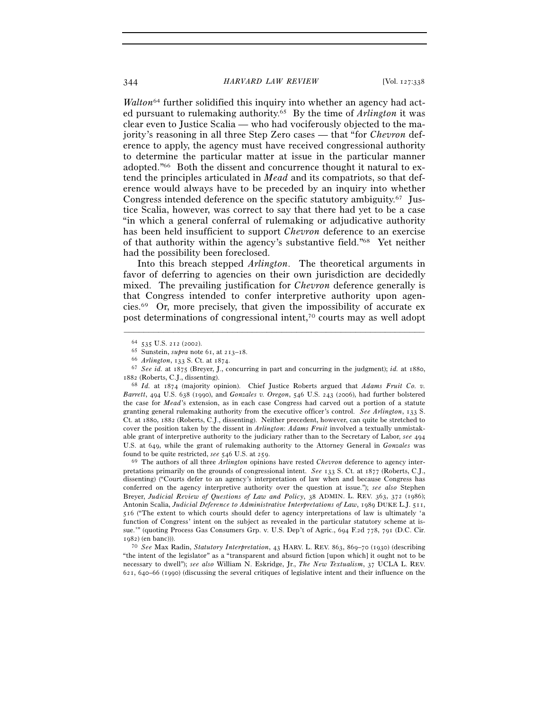*Walton*<sup>64</sup> further solidified this inquiry into whether an agency had acted pursuant to rulemaking authority.65 By the time of *Arlington* it was clear even to Justice Scalia — who had vociferously objected to the majority's reasoning in all three Step Zero cases — that "for *Chevron* deference to apply, the agency must have received congressional authority to determine the particular matter at issue in the particular manner adopted."66 Both the dissent and concurrence thought it natural to extend the principles articulated in *Mead* and its compatriots, so that deference would always have to be preceded by an inquiry into whether Congress intended deference on the specific statutory ambiguity.67 Justice Scalia, however, was correct to say that there had yet to be a case "in which a general conferral of rulemaking or adjudicative authority has been held insufficient to support *Chevron* deference to an exercise of that authority within the agency's substantive field."68 Yet neither had the possibility been foreclosed.

Into this breach stepped *Arlington*. The theoretical arguments in favor of deferring to agencies on their own jurisdiction are decidedly mixed. The prevailing justification for *Chevron* deference generally is that Congress intended to confer interpretive authority upon agencies.69 Or, more precisely, that given the impossibility of accurate ex post determinations of congressional intent,70 courts may as well adopt

–––––––––––––––––––––––––––––––––––––––––––––––––––––––––––––

pretations primarily on the grounds of congressional intent. *See* 133 S. Ct. at 1877 (Roberts, C.J., dissenting) ("Courts defer to an agency's interpretation of law when and because Congress has conferred on the agency interpretive authority over the question at issue."); *see also* Stephen Breyer, *Judicial Review of Questions of Law and Policy*, 38 ADMIN. L. REV. 363, 372 (1986); Antonin Scalia, *Judicial Deference to Administrative Interpretations of Law*, 1989 DUKE L.J. 511, 516 ("The extent to which courts should defer to agency interpretations of law is ultimately 'a function of Congress' intent on the subject as revealed in the particular statutory scheme at issue.'" (quoting Process Gas Consumers Grp. v. U.S. Dep't of Agric., 694 F.2d 778, 791 (D.C. Cir. 1982) (en banc))).

70 *See* Max Radin, *Statutory Interpretation*, 43 HARV. L. REV. 863, 869–70 (1930) (describing "the intent of the legislator" as a "transparent and absurd fiction [upon which] it ought not to be necessary to dwell"); *see also* William N. Eskridge, Jr., *The New Textualism*, 37 UCLA L. REV. 621, 640–66 (1990) (discussing the several critiques of legislative intent and their influence on the

<sup>&</sup>lt;sup>64</sup> 535 U.S. 212 (2002).<br>
<sup>65</sup> Sunstein, *supra* note 61, at 213–18.<br>
<sup>66</sup> Arlington, 133 S. Ct. at 1874.<br>
<sup>67</sup> *See id.* at 1875 (Breyer, J., concurring in part and concurring in the judgment); *id.* at 1880, 1882 (Roberts, C.J., dissenting).

<sup>68</sup> *Id.* at 1874 (majority opinion). Chief Justice Roberts argued that *Adams Fruit Co. v. Barrett*, 494 U.S. 638 (1990), and *Gonzales v. Oregon*, 546 U.S. 243 (2006), had further bolstered the case for *Mead*'s extension, as in each case Congress had carved out a portion of a statute granting general rulemaking authority from the executive officer's control. *See Arlington*, 133 S. Ct. at 1880, 1882 (Roberts, C.J., dissenting). Neither precedent, however, can quite be stretched to cover the position taken by the dissent in *Arlington*: *Adams Fruit* involved a textually unmistakable grant of interpretive authority to the judiciary rather than to the Secretary of Labor, *see* 494 U.S. at 649, while the grant of rulemaking authority to the Attorney General in *Gonzales* was found to be quite restricted, *see* <sup>546</sup> U.S. at 259. 69 The authors of all three *Arlington* opinions have rested *Chevron* deference to agency inter-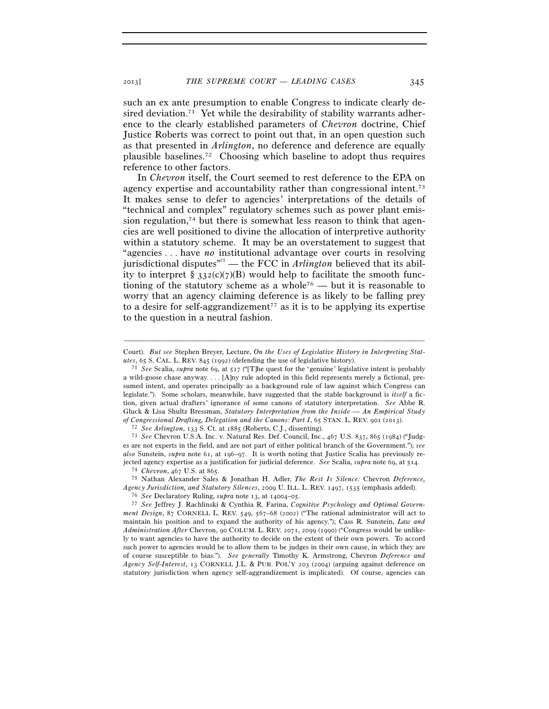such an ex ante presumption to enable Congress to indicate clearly desired deviation.<sup>71</sup> Yet while the desirability of stability warrants adherence to the clearly established parameters of *Chevron* doctrine, Chief Justice Roberts was correct to point out that, in an open question such as that presented in *Arlington*, no deference and deference are equally plausible baselines.72 Choosing which baseline to adopt thus requires reference to other factors.

In *Chevron* itself, the Court seemed to rest deference to the EPA on agency expertise and accountability rather than congressional intent.73 It makes sense to defer to agencies' interpretations of the details of "technical and complex" regulatory schemes such as power plant emission regulation, $74$  but there is somewhat less reason to think that agencies are well positioned to divine the allocation of interpretive authority within a statutory scheme. It may be an overstatement to suggest that "agencies . . . have *no* institutional advantage over courts in resolving jurisdictional disputes"75 — the FCC in *Arlington* believed that its ability to interpret  $\S$  332(c)(7)(B) would help to facilitate the smooth functioning of the statutory scheme as a whole<sup>76</sup> — but it is reasonable to worry that an agency claiming deference is as likely to be falling prey to a desire for self-aggrandizement<sup> $77$ </sup> as it is to be applying its expertise to the question in a neutral fashion.

<sup>–––––––––––––––––––––––––––––––––––––––––––––––––––––––––––––</sup> Court). *But see* Stephen Breyer, Lecture, *On the Uses of Legislative History in Interpreting Statutes*, 65 S. CAL. L. REV. 845 (1992) (defending the use of legislative history). 71 *See* Scalia, *supra* note 69, at 517 ("[T]he quest for the 'genuine' legislative intent is probably

a wild-goose chase anyway. . . . [A]ny rule adopted in this field represents merely a fictional, presumed intent, and operates principally as a background rule of law against which Congress can legislate."). Some scholars, meanwhile, have suggested that the stable background is *itself* a fiction, given actual drafters' ignorance of some canons of statutory interpretation. *See* Abbe R. Gluck & Lisa Shultz Bressman, *Statutory Interpretation from the Inside — An Empirical Study*  of Congressional Drafting, Delegation and the Canons: Part I, 65 STAN. L. REV. 901 (2013).<br><sup>72</sup> See Arlington, 133 S. Ct. at 1885 (Roberts, C.J., dissenting).<br><sup>73</sup> See Chevron U.S.A. Inc. v. Natural Res. Def. Council, Inc.

es are not experts in the field, and are not part of either political branch of the Government."); *see also* Sunstein, *supra* note 61, at 196–97. It is worth noting that Justice Scalia has previously rejected agency expertise as a justification for judicial deference. See Scalia, supra note 69, at 514.<br><sup>74</sup> Chevron, 467 U.S. at 865.<br><sup>75</sup> Nathan Alexander Sales & Jonathan H. Adler, *The Rest Is Silence:* Chevron Deferenc

*Agency Jurisdiction, and Statutory Silences*, 2009 U. ILL. L. REV. 1497, 1535 (emphasis added).<br><sup>76</sup> See Declaratory Ruling, *supra* note 13, at 14004–05.

<sup>&</sup>lt;sup>77</sup> See Jeffrey J. Rachlinski & Cynthia R. Farina, *Cognitive Psychology and Optimal Government Design*, 87 CORNELL L. REV. 549, 567–68 (2002) ("The rational administrator will act to maintain his position and to expand the authority of his agency."); Cass R. Sunstein, *Law and Administration After* Chevron, 90 COLUM. L. REV. 2071, 2099 (1990) ("Congress would be unlikely to want agencies to have the authority to decide on the extent of their own powers. To accord such power to agencies would be to allow them to be judges in their own cause, in which they are of course susceptible to bias."). *See generally* Timothy K. Armstrong, Chevron *Deference and Agency Self-Interest*, 13 CORNELL J.L. & PUB. POL'Y 203 (2004) (arguing against deference on statutory jurisdiction when agency self-aggrandizement is implicated). Of course, agencies can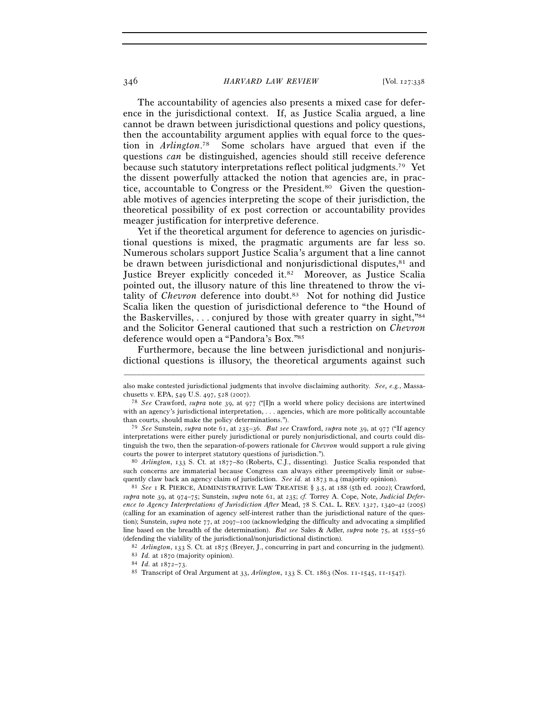## 346 *HARVARD LAW REVIEW* [Vol. 127:338

The accountability of agencies also presents a mixed case for deference in the jurisdictional context. If, as Justice Scalia argued, a line cannot be drawn between jurisdictional questions and policy questions, then the accountability argument applies with equal force to the question in *Arlington*. 78 Some scholars have argued that even if the questions *can* be distinguished, agencies should still receive deference because such statutory interpretations reflect political judgments.79 Yet the dissent powerfully attacked the notion that agencies are, in practice, accountable to Congress or the President.<sup>80</sup> Given the questionable motives of agencies interpreting the scope of their jurisdiction, the theoretical possibility of ex post correction or accountability provides meager justification for interpretive deference.

Yet if the theoretical argument for deference to agencies on jurisdictional questions is mixed, the pragmatic arguments are far less so. Numerous scholars support Justice Scalia's argument that a line cannot be drawn between jurisdictional and nonjurisdictional disputes,<sup>81</sup> and Justice Breyer explicitly conceded it.82 Moreover, as Justice Scalia pointed out, the illusory nature of this line threatened to throw the vitality of *Chevron* deference into doubt.<sup>83</sup> Not for nothing did Justice Scalia liken the question of jurisdictional deference to "the Hound of the Baskervilles, . . . conjured by those with greater quarry in sight,"84 and the Solicitor General cautioned that such a restriction on *Chevron* deference would open a "Pandora's Box."85

Furthermore, because the line between jurisdictional and nonjurisdictional questions is illusory, the theoretical arguments against such

such concerns are immaterial because Congress can always either preemptively limit or subsequently claw back an agency claim of jurisdiction. *See id.* at 1873 n.4 (majority opinion).<br><sup>81</sup> *See* 1 R. PIERCE, ADMINISTRATIVE LAW TREATISE § 3.5, at 188 (5th ed. 2002); Crawford,

*supra* note 39, at 974–75; Sunstein, *supra* note 61, at 235; *cf.* Torrey A. Cope, Note, *Judicial Deference to Agency Interpretations of Jurisdiction After* Mead, 78 S. CAL. L. REV. 1327, 1340–42 (2005) (calling for an examination of agency self-interest rather than the jurisdictional nature of the question); Sunstein, *supra* note 77, at 2097–100 (acknowledging the difficulty and advocating a simplified line based on the breadth of the determination). *But see* Sales & Adler, *supra* note 75, at 1555–56 (defending the viability of the jurisdictional/nonjurisdictional distinction).<br><sup>82</sup> *Arlington*, 133 S. Ct. at 1875 (Breyer, J., concurring in part and concurring in the judgment).<br><sup>83</sup> *Id.* at 1870 (majority opinion).<br><sup></sup>

<sup>–––––––––––––––––––––––––––––––––––––––––––––––––––––––––––––</sup> also make contested jurisdictional judgments that involve disclaiming authority. *See, e.g.*, Massachusetts v. EPA, 549 U.S. 497, 528 (2007). 78 *See* Crawford, *supra* note 39, at 977 ("[I]n a world where policy decisions are intertwined

with an agency's jurisdictional interpretation, ... agencies, which are more politically accountable than courts, should make the policy determinations.").

<sup>79</sup> *See* Sunstein, *supra* note 61, at 235–36. *But see* Crawford, *supra* note 39, at 977 ("If agency interpretations were either purely jurisdictional or purely nonjurisdictional, and courts could distinguish the two, then the separation-of-powers rationale for *Chevron* would support a rule giving courts the power to interpret statutory questions of jurisdiction."). 80 *Arlington*, 133 S. Ct. at 1877–80 (Roberts, C.J., dissenting). Justice Scalia responded that